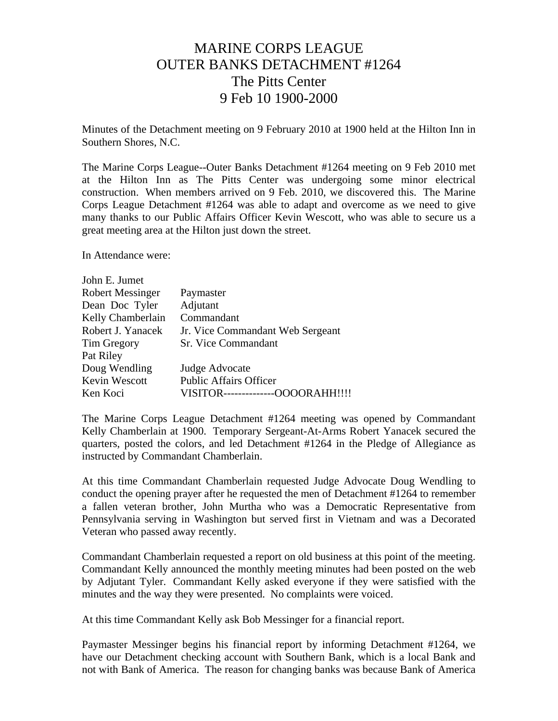## MARINE CORPS LEAGUE OUTER BANKS DETACHMENT #1264 The Pitts Center 9 Feb 10 1900-2000

Minutes of the Detachment meeting on 9 February 2010 at 1900 held at the Hilton Inn in Southern Shores, N.C.

The Marine Corps League--Outer Banks Detachment #1264 meeting on 9 Feb 2010 met at the Hilton Inn as The Pitts Center was undergoing some minor electrical construction. When members arrived on 9 Feb. 2010, we discovered this. The Marine Corps League Detachment #1264 was able to adapt and overcome as we need to give many thanks to our Public Affairs Officer Kevin Wescott, who was able to secure us a great meeting area at the Hilton just down the street.

In Attendance were:

| Paymaster                             |
|---------------------------------------|
| Adjutant                              |
| Commandant                            |
| Jr. Vice Commandant Web Sergeant      |
| <b>Sr.</b> Vice Commandant            |
|                                       |
| Judge Advocate                        |
| <b>Public Affairs Officer</b>         |
| -OOOORAHH!!!!<br>VISITOR------------- |
|                                       |

The Marine Corps League Detachment #1264 meeting was opened by Commandant Kelly Chamberlain at 1900. Temporary Sergeant-At-Arms Robert Yanacek secured the quarters, posted the colors, and led Detachment #1264 in the Pledge of Allegiance as instructed by Commandant Chamberlain.

At this time Commandant Chamberlain requested Judge Advocate Doug Wendling to conduct the opening prayer after he requested the men of Detachment #1264 to remember a fallen veteran brother, John Murtha who was a Democratic Representative from Pennsylvania serving in Washington but served first in Vietnam and was a Decorated Veteran who passed away recently.

Commandant Chamberlain requested a report on old business at this point of the meeting. Commandant Kelly announced the monthly meeting minutes had been posted on the web by Adjutant Tyler. Commandant Kelly asked everyone if they were satisfied with the minutes and the way they were presented. No complaints were voiced.

At this time Commandant Kelly ask Bob Messinger for a financial report.

Paymaster Messinger begins his financial report by informing Detachment #1264, we have our Detachment checking account with Southern Bank, which is a local Bank and not with Bank of America. The reason for changing banks was because Bank of America